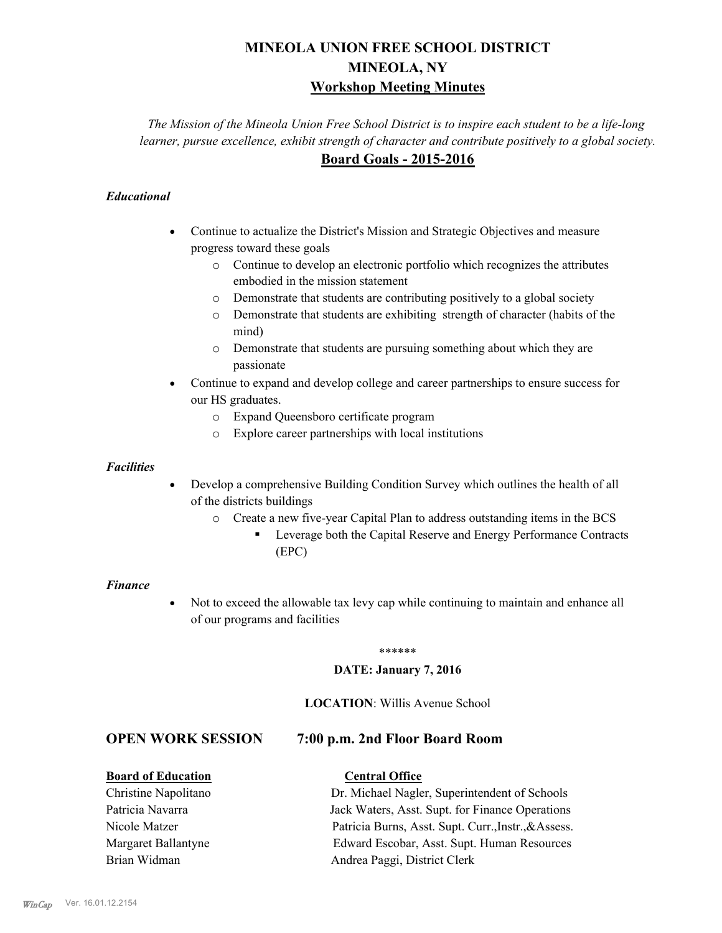# **MINEOLA UNION FREE SCHOOL DISTRICT MINEOLA, NY Workshop Meeting Minutes**

*The Mission of the Mineola Union Free School District is to inspire each student to be a life-long learner, pursue excellence, exhibit strength of character and contribute positively to a global society.* **Board Goals - 2015-2016**

## *Educational*

- · Continue to actualize the District's Mission and Strategic Objectives and measure progress toward these goals
	- o Continue to develop an electronic portfolio which recognizes the attributes embodied in the mission statement
	- o Demonstrate that students are contributing positively to a global society
	- o Demonstrate that students are exhibiting strength of character (habits of the mind)
	- o Demonstrate that students are pursuing something about which they are passionate
- Continue to expand and develop college and career partnerships to ensure success for our HS graduates.
	- o Expand Queensboro certificate program
	- o Explore career partnerships with local institutions

#### *Facilities*

- Develop a comprehensive Building Condition Survey which outlines the health of all of the districts buildings
	- o Create a new five-year Capital Plan to address outstanding items in the BCS
		- § Leverage both the Capital Reserve and Energy Performance Contracts (EPC)

#### *Finance*

• Not to exceed the allowable tax levy cap while continuing to maintain and enhance all of our programs and facilities

#### \*\*\*\*\*\*

#### **DATE: January 7, 2016**

#### **LOCATION**: Willis Avenue School

# **OPEN WORK SESSION 7:00 p.m. 2nd Floor Board Room**

### **Board of Education Central Office**

# Christine Napolitano Dr. Michael Nagler, Superintendent of Schools Patricia Navarra Jack Waters, Asst. Supt. for Finance Operations Nicole Matzer Patricia Burns, Asst. Supt. Curr.,Instr.,&Assess. Margaret Ballantyne Edward Escobar, Asst. Supt. Human Resources Brian Widman **Andrea Paggi, District Clerk**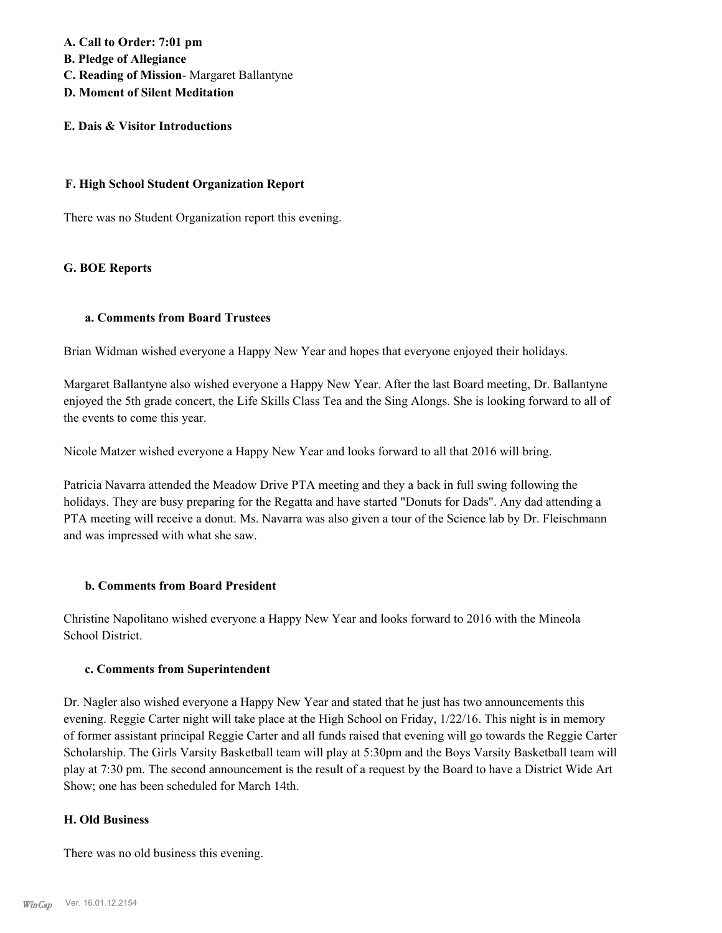**A. Call to Order: 7:01 pm B. Pledge of Allegiance**

- **C. Reading of Mission** Margaret Ballantyne
- **D. Moment of Silent Meditation**

# **E. Dais & Visitor Introductions**

#### **F. High School Student Organization Report**

There was no Student Organization report this evening.

### **G. BOE Reports**

#### **a. Comments from Board Trustees**

Brian Widman wished everyone a Happy New Year and hopes that everyone enjoyed their holidays.

Margaret Ballantyne also wished everyone a Happy New Year. After the last Board meeting, Dr. Ballantyne enjoyed the 5th grade concert, the Life Skills Class Tea and the Sing Alongs. She is looking forward to all of the events to come this year.

Nicole Matzer wished everyone a Happy New Year and looks forward to all that 2016 will bring.

Patricia Navarra attended the Meadow Drive PTA meeting and they a back in full swing following the holidays. They are busy preparing for the Regatta and have started "Donuts for Dads". Any dad attending a PTA meeting will receive a donut. Ms. Navarra was also given a tour of the Science lab by Dr. Fleischmann and was impressed with what she saw.

### **b. Comments from Board President**

Christine Napolitano wished everyone a Happy New Year and looks forward to 2016 with the Mineola School District.

#### **c. Comments from Superintendent**

Dr. Nagler also wished everyone a Happy New Year and stated that he just has two announcements this evening. Reggie Carter night will take place at the High School on Friday, 1/22/16. This night is in memory of former assistant principal Reggie Carter and all funds raised that evening will go towards the Reggie Carter Scholarship. The Girls Varsity Basketball team will play at 5:30pm and the Boys Varsity Basketball team will play at 7:30 pm. The second announcement is the result of a request by the Board to have a District Wide Art Show; one has been scheduled for March 14th.

### **H. Old Business**

There was no old business this evening.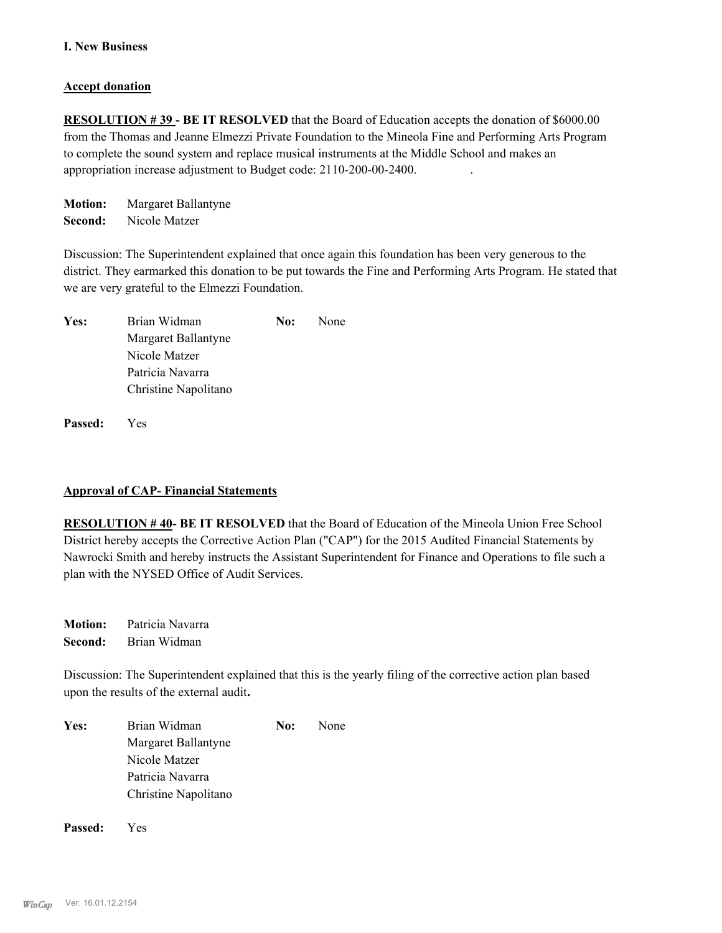#### **I. New Business**

#### **Accept donation**

**RESOLUTION #39 - BE IT RESOLVED** that the Board of Education accepts the donation of \$6000.00 from the Thomas and Jeanne Elmezzi Private Foundation to the Mineola Fine and Performing Arts Program to complete the sound system and replace musical instruments at the Middle School and makes an appropriation increase adjustment to Budget code: 2110-200-00-2400. .

**Motion:** Margaret Ballantyne **Second:** Nicole Matzer

Discussion: The Superintendent explained that once again this foundation has been very generous to the district. They earmarked this donation to be put towards the Fine and Performing Arts Program. He stated that we are very grateful to the Elmezzi Foundation.

| Yes: | Brian Widman         | No: | None |
|------|----------------------|-----|------|
|      | Margaret Ballantyne  |     |      |
|      | Nicole Matzer        |     |      |
|      | Patricia Navarra     |     |      |
|      | Christine Napolitano |     |      |
|      |                      |     |      |

**Passed:** Yes

#### **Approval of CAP- Financial Statements**

**RESOLUTION # 40- BE IT RESOLVED** that the Board of Education of the Mineola Union Free School District hereby accepts the Corrective Action Plan ("CAP") for the 2015 Audited Financial Statements by Nawrocki Smith and hereby instructs the Assistant Superintendent for Finance and Operations to file such a plan with the NYSED Office of Audit Services.

**Motion:** Patricia Navarra **Second:** Brian Widman

Discussion: The Superintendent explained that this is the yearly filing of the corrective action plan based upon the results of the external audit**.** 

| Yes: | Brian Widman         | No: | None |
|------|----------------------|-----|------|
|      | Margaret Ballantyne  |     |      |
|      | Nicole Matzer        |     |      |
|      | Patricia Navarra     |     |      |
|      | Christine Napolitano |     |      |

**Passed:** Yes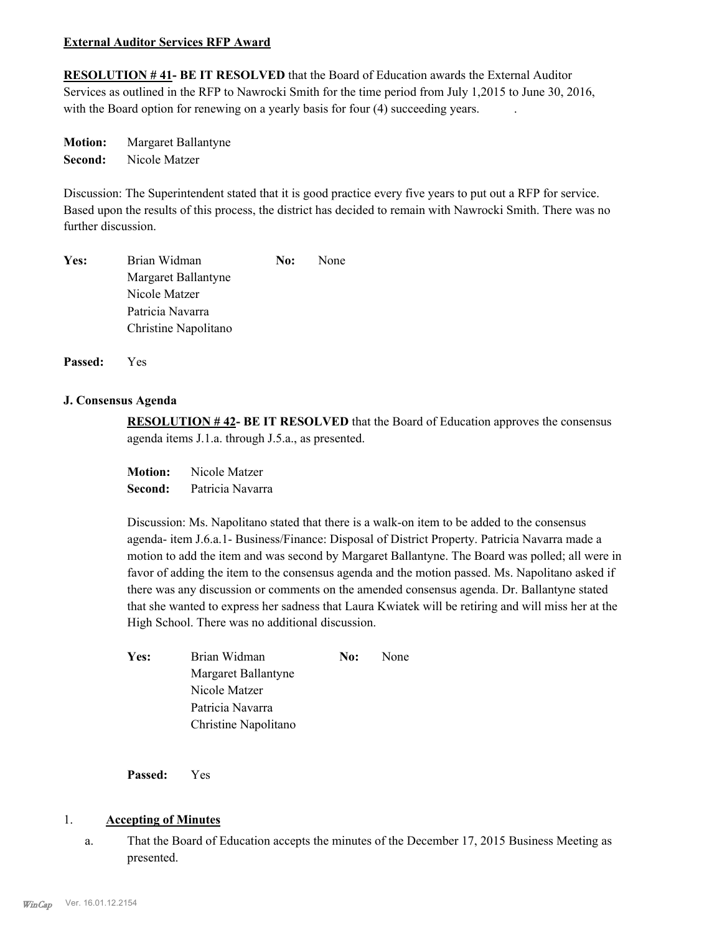#### **External Auditor Services RFP Award**

**RESOLUTION # 41- BE IT RESOLVED** that the Board of Education awards the External Auditor Services as outlined in the RFP to Nawrocki Smith for the time period from July 1,2015 to June 30, 2016, with the Board option for renewing on a yearly basis for four (4) succeeding years.

**Motion:** Margaret Ballantyne **Second:** Nicole Matzer

Discussion: The Superintendent stated that it is good practice every five years to put out a RFP for service. Based upon the results of this process, the district has decided to remain with Nawrocki Smith. There was no further discussion.

| Yes: | Brian Widman         | No: | None |
|------|----------------------|-----|------|
|      | Margaret Ballantyne  |     |      |
|      | Nicole Matzer        |     |      |
|      | Patricia Navarra     |     |      |
|      | Christine Napolitano |     |      |

**Passed:** Yes

#### **J. Consensus Agenda**

**RESOLUTION # 42- BE IT RESOLVED** that the Board of Education approves the consensus agenda items J.1.a. through J.5.a., as presented.

**Motion:** Nicole Matzer **Second:** Patricia Navarra

Discussion: Ms. Napolitano stated that there is a walk-on item to be added to the consensus agenda- item J.6.a.1- Business/Finance: Disposal of District Property. Patricia Navarra made a motion to add the item and was second by Margaret Ballantyne. The Board was polled; all were in favor of adding the item to the consensus agenda and the motion passed. Ms. Napolitano asked if there was any discussion or comments on the amended consensus agenda. Dr. Ballantyne stated that she wanted to express her sadness that Laura Kwiatek will be retiring and will miss her at the High School. There was no additional discussion.

| Yes: | Brian Widman         | No: | None |
|------|----------------------|-----|------|
|      | Margaret Ballantyne  |     |      |
|      | Nicole Matzer        |     |      |
|      | Patricia Navarra     |     |      |
|      | Christine Napolitano |     |      |

**Passed:** Yes

### 1. **Accepting of Minutes**

That the Board of Education accepts the minutes of the December 17, 2015 Business Meeting as presented. a.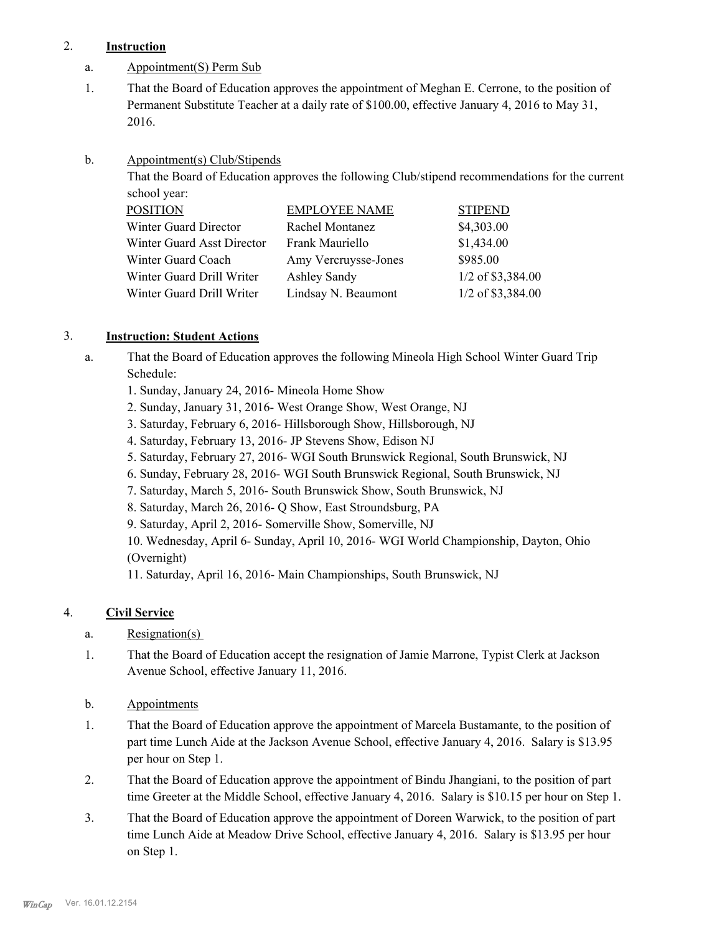# 2. **Instruction**

- a. Appointment(S) Perm Sub
- That the Board of Education approves the appointment of Meghan E. Cerrone, to the position of Permanent Substitute Teacher at a daily rate of \$100.00, effective January 4, 2016 to May 31, 2016. 1.
- Appointment(s) Club/Stipends b.

That the Board of Education approves the following Club/stipend recommendations for the current school year:

| <b>POSITION</b>            | <b>EMPLOYEE NAME</b> | <b>STIPEND</b>    |
|----------------------------|----------------------|-------------------|
| Winter Guard Director      | Rachel Montanez      | \$4,303.00        |
| Winter Guard Asst Director | Frank Mauriello      | \$1,434.00        |
| Winter Guard Coach         | Amy Vercruysse-Jones | \$985.00          |
| Winter Guard Drill Writer  | <b>Ashley Sandy</b>  | 1/2 of \$3,384.00 |
| Winter Guard Drill Writer  | Lindsay N. Beaumont  | 1/2 of \$3,384.00 |
|                            |                      |                   |

# 3. **Instruction: Student Actions**

- That the Board of Education approves the following Mineola High School Winter Guard Trip Schedule: a.
	- 1. Sunday, January 24, 2016- Mineola Home Show
	- 2. Sunday, January 31, 2016- West Orange Show, West Orange, NJ
	- 3. Saturday, February 6, 2016- Hillsborough Show, Hillsborough, NJ
	- 4. Saturday, February 13, 2016- JP Stevens Show, Edison NJ
	- 5. Saturday, February 27, 2016- WGI South Brunswick Regional, South Brunswick, NJ
	- 6. Sunday, February 28, 2016- WGI South Brunswick Regional, South Brunswick, NJ
	- 7. Saturday, March 5, 2016- South Brunswick Show, South Brunswick, NJ
	- 8. Saturday, March 26, 2016- Q Show, East Stroundsburg, PA
	- 9. Saturday, April 2, 2016- Somerville Show, Somerville, NJ

10. Wednesday, April 6- Sunday, April 10, 2016- WGI World Championship, Dayton, Ohio (Overnight)

11. Saturday, April 16, 2016- Main Championships, South Brunswick, NJ

# 4. **Civil Service**

- a. Resignation(s)
- That the Board of Education accept the resignation of Jamie Marrone, Typist Clerk at Jackson Avenue School, effective January 11, 2016. 1.
- b. Appointments
- That the Board of Education approve the appointment of Marcela Bustamante, to the position of part time Lunch Aide at the Jackson Avenue School, effective January 4, 2016. Salary is \$13.95 per hour on Step 1. 1.
- That the Board of Education approve the appointment of Bindu Jhangiani, to the position of part time Greeter at the Middle School, effective January 4, 2016. Salary is \$10.15 per hour on Step 1. 2.
- That the Board of Education approve the appointment of Doreen Warwick, to the position of part time Lunch Aide at Meadow Drive School, effective January 4, 2016. Salary is \$13.95 per hour on Step 1. 3.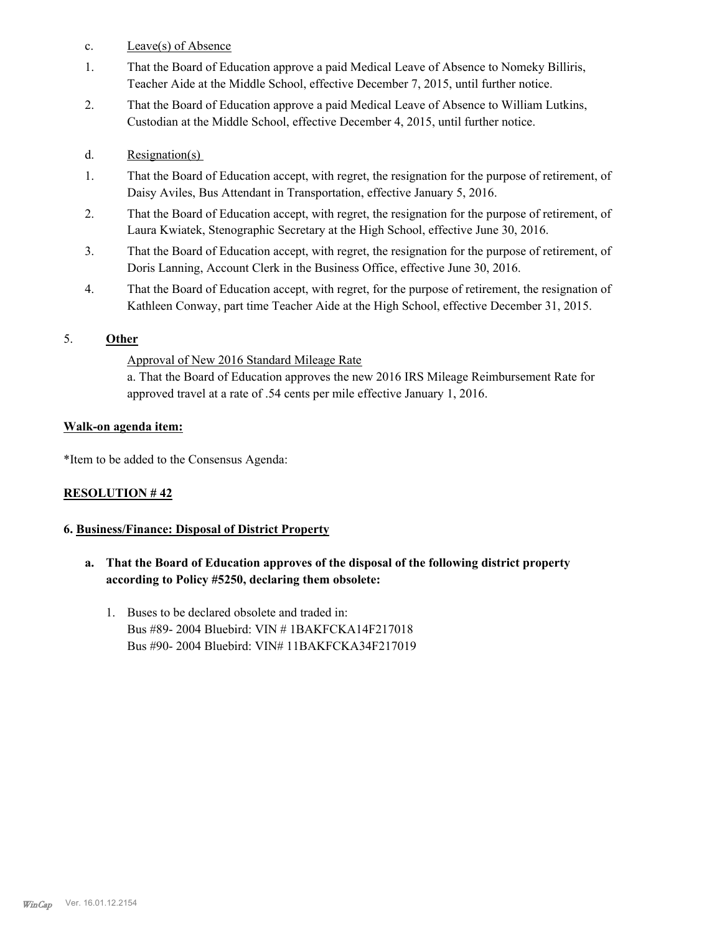- c. Leave(s) of Absence
- That the Board of Education approve a paid Medical Leave of Absence to Nomeky Billiris, Teacher Aide at the Middle School, effective December 7, 2015, until further notice. 1.
- That the Board of Education approve a paid Medical Leave of Absence to William Lutkins, Custodian at the Middle School, effective December 4, 2015, until further notice. 2.
- d. Resignation(s)
- That the Board of Education accept, with regret, the resignation for the purpose of retirement, of Daisy Aviles, Bus Attendant in Transportation, effective January 5, 2016. 1.
- That the Board of Education accept, with regret, the resignation for the purpose of retirement, of Laura Kwiatek, Stenographic Secretary at the High School, effective June 30, 2016. 2.
- That the Board of Education accept, with regret, the resignation for the purpose of retirement, of Doris Lanning, Account Clerk in the Business Office, effective June 30, 2016. 3.
- That the Board of Education accept, with regret, for the purpose of retirement, the resignation of Kathleen Conway, part time Teacher Aide at the High School, effective December 31, 2015. 4.

# 5. **Other**

Approval of New 2016 Standard Mileage Rate

a. That the Board of Education approves the new 2016 IRS Mileage Reimbursement Rate for approved travel at a rate of .54 cents per mile effective January 1, 2016.

### **Walk-on agenda item:**

\*Item to be added to the Consensus Agenda:

## **RESOLUTION # 42**

### **6. Business/Finance: Disposal of District Property**

- **a. That the Board of Education approves of the disposal of the following district property according to Policy #5250, declaring them obsolete:**
	- 1. Buses to be declared obsolete and traded in: Bus #89- 2004 Bluebird: VIN # 1BAKFCKA14F217018 Bus #90- 2004 Bluebird: VIN# 11BAKFCKA34F217019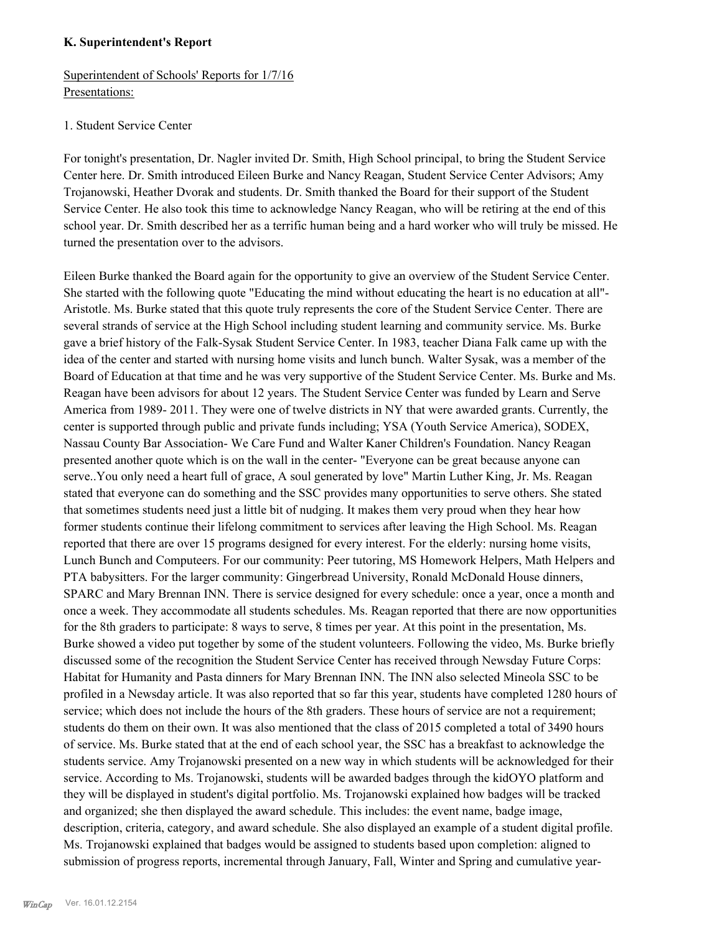#### **K. Superintendent's Report**

Superintendent of Schools' Reports for 1/7/16 Presentations:

#### 1. Student Service Center

For tonight's presentation, Dr. Nagler invited Dr. Smith, High School principal, to bring the Student Service Center here. Dr. Smith introduced Eileen Burke and Nancy Reagan, Student Service Center Advisors; Amy Trojanowski, Heather Dvorak and students. Dr. Smith thanked the Board for their support of the Student Service Center. He also took this time to acknowledge Nancy Reagan, who will be retiring at the end of this school year. Dr. Smith described her as a terrific human being and a hard worker who will truly be missed. He turned the presentation over to the advisors.

Eileen Burke thanked the Board again for the opportunity to give an overview of the Student Service Center. She started with the following quote "Educating the mind without educating the heart is no education at all"- Aristotle. Ms. Burke stated that this quote truly represents the core of the Student Service Center. There are several strands of service at the High School including student learning and community service. Ms. Burke gave a brief history of the Falk-Sysak Student Service Center. In 1983, teacher Diana Falk came up with the idea of the center and started with nursing home visits and lunch bunch. Walter Sysak, was a member of the Board of Education at that time and he was very supportive of the Student Service Center. Ms. Burke and Ms. Reagan have been advisors for about 12 years. The Student Service Center was funded by Learn and Serve America from 1989- 2011. They were one of twelve districts in NY that were awarded grants. Currently, the center is supported through public and private funds including; YSA (Youth Service America), SODEX, Nassau County Bar Association- We Care Fund and Walter Kaner Children's Foundation. Nancy Reagan presented another quote which is on the wall in the center- "Everyone can be great because anyone can serve..You only need a heart full of grace, A soul generated by love" Martin Luther King, Jr. Ms. Reagan stated that everyone can do something and the SSC provides many opportunities to serve others. She stated that sometimes students need just a little bit of nudging. It makes them very proud when they hear how former students continue their lifelong commitment to services after leaving the High School. Ms. Reagan reported that there are over 15 programs designed for every interest. For the elderly: nursing home visits, Lunch Bunch and Computeers. For our community: Peer tutoring, MS Homework Helpers, Math Helpers and PTA babysitters. For the larger community: Gingerbread University, Ronald McDonald House dinners, SPARC and Mary Brennan INN. There is service designed for every schedule: once a year, once a month and once a week. They accommodate all students schedules. Ms. Reagan reported that there are now opportunities for the 8th graders to participate: 8 ways to serve, 8 times per year. At this point in the presentation, Ms. Burke showed a video put together by some of the student volunteers. Following the video, Ms. Burke briefly discussed some of the recognition the Student Service Center has received through Newsday Future Corps: Habitat for Humanity and Pasta dinners for Mary Brennan INN. The INN also selected Mineola SSC to be profiled in a Newsday article. It was also reported that so far this year, students have completed 1280 hours of service; which does not include the hours of the 8th graders. These hours of service are not a requirement; students do them on their own. It was also mentioned that the class of 2015 completed a total of 3490 hours of service. Ms. Burke stated that at the end of each school year, the SSC has a breakfast to acknowledge the students service. Amy Trojanowski presented on a new way in which students will be acknowledged for their service. According to Ms. Trojanowski, students will be awarded badges through the kidOYO platform and they will be displayed in student's digital portfolio. Ms. Trojanowski explained how badges will be tracked and organized; she then displayed the award schedule. This includes: the event name, badge image, description, criteria, category, and award schedule. She also displayed an example of a student digital profile. Ms. Trojanowski explained that badges would be assigned to students based upon completion: aligned to submission of progress reports, incremental through January, Fall, Winter and Spring and cumulative year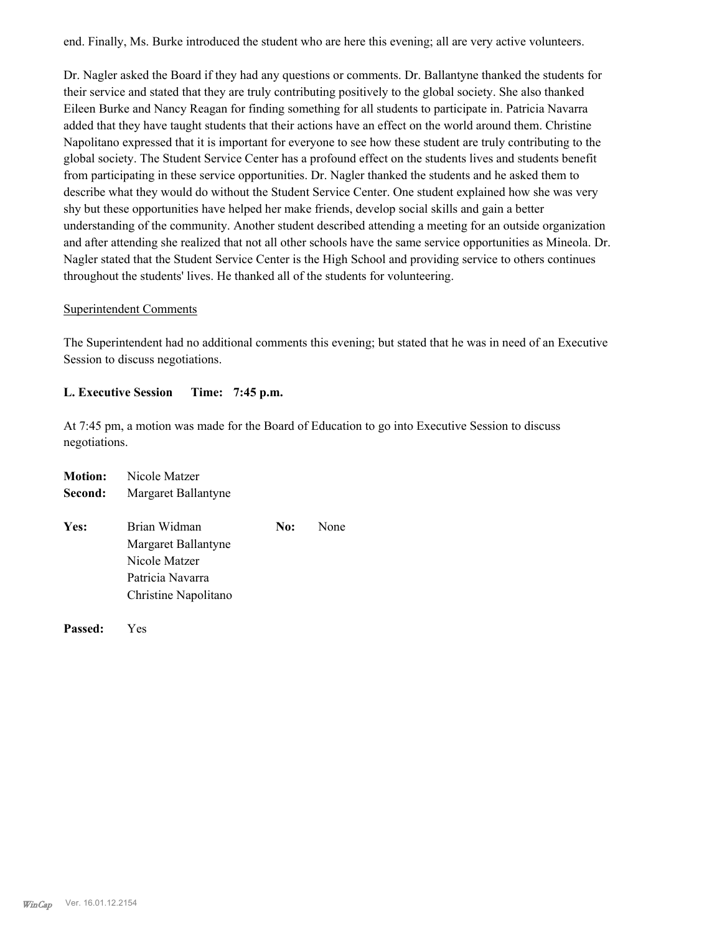end. Finally, Ms. Burke introduced the student who are here this evening; all are very active volunteers.

Dr. Nagler asked the Board if they had any questions or comments. Dr. Ballantyne thanked the students for their service and stated that they are truly contributing positively to the global society. She also thanked Eileen Burke and Nancy Reagan for finding something for all students to participate in. Patricia Navarra added that they have taught students that their actions have an effect on the world around them. Christine Napolitano expressed that it is important for everyone to see how these student are truly contributing to the global society. The Student Service Center has a profound effect on the students lives and students benefit from participating in these service opportunities. Dr. Nagler thanked the students and he asked them to describe what they would do without the Student Service Center. One student explained how she was very shy but these opportunities have helped her make friends, develop social skills and gain a better understanding of the community. Another student described attending a meeting for an outside organization and after attending she realized that not all other schools have the same service opportunities as Mineola. Dr. Nagler stated that the Student Service Center is the High School and providing service to others continues throughout the students' lives. He thanked all of the students for volunteering.

#### Superintendent Comments

The Superintendent had no additional comments this evening; but stated that he was in need of an Executive Session to discuss negotiations.

### **L. Executive Session Time: 7:45 p.m.**

At 7:45 pm, a motion was made for the Board of Education to go into Executive Session to discuss negotiations.

| <b>Motion:</b> | Nicole Matzer                                        |     |      |
|----------------|------------------------------------------------------|-----|------|
| Second:        | Margaret Ballantyne                                  |     |      |
| Yes:           | Brian Widman<br>Margaret Ballantyne<br>Nicole Matzer | No: | None |
|                | Patricia Navarra<br>Christine Napolitano             |     |      |
|                |                                                      |     |      |

**Passed:** Yes